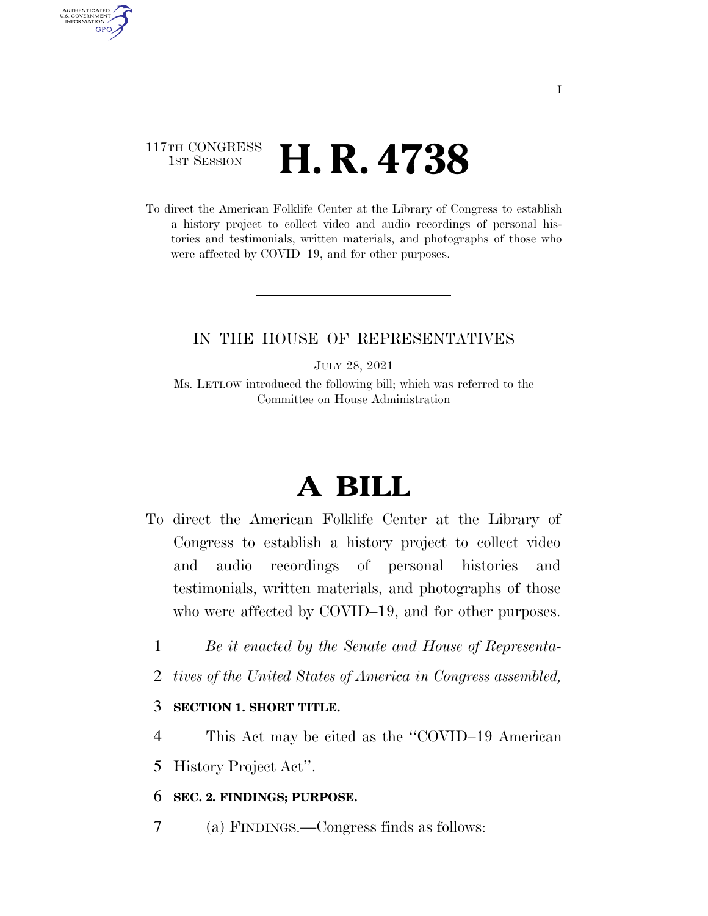## 117TH CONGRESS <sup>TH CONGRESS</sup>  $H$ . R. 4738

AUTHENTICATED U.S. GOVERNMENT GPO

> To direct the American Folklife Center at the Library of Congress to establish a history project to collect video and audio recordings of personal histories and testimonials, written materials, and photographs of those who were affected by COVID–19, and for other purposes.

### IN THE HOUSE OF REPRESENTATIVES

JULY 28, 2021

Ms. LETLOW introduced the following bill; which was referred to the Committee on House Administration

# **A BILL**

- To direct the American Folklife Center at the Library of Congress to establish a history project to collect video and audio recordings of personal histories and testimonials, written materials, and photographs of those who were affected by COVID–19, and for other purposes.
	- 1 *Be it enacted by the Senate and House of Representa-*
	- 2 *tives of the United States of America in Congress assembled,*

#### 3 **SECTION 1. SHORT TITLE.**

4 This Act may be cited as the ''COVID–19 American

5 History Project Act''.

#### 6 **SEC. 2. FINDINGS; PURPOSE.**

7 (a) FINDINGS.—Congress finds as follows: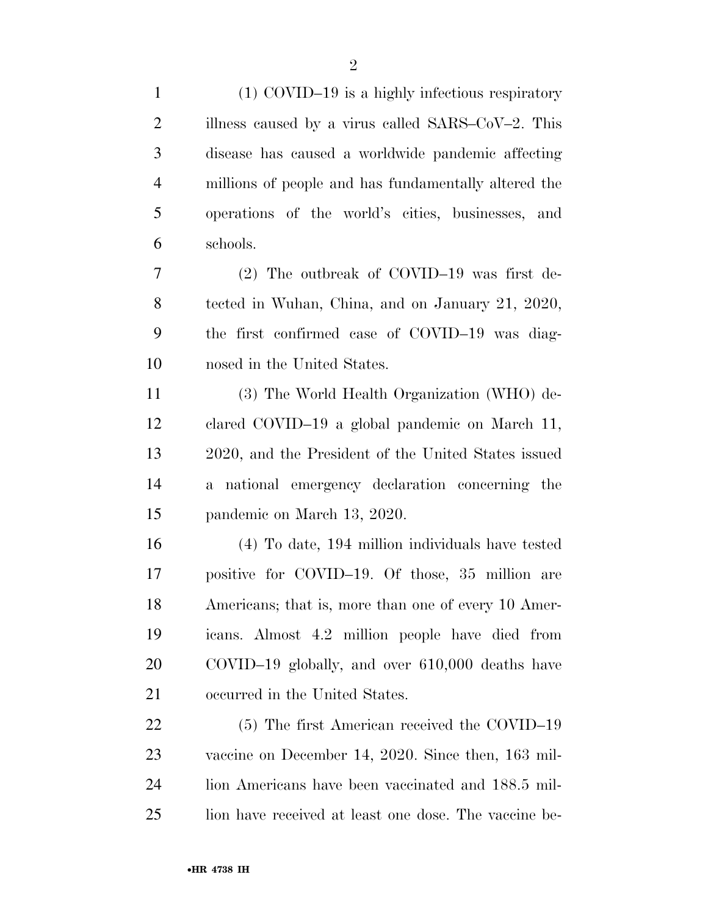| $\mathbf{1}$   | $(1)$ COVID-19 is a highly infectious respiratory     |
|----------------|-------------------------------------------------------|
| $\overline{2}$ | illness caused by a virus called SARS-CoV-2. This     |
| 3              | disease has caused a worldwide pandemic affecting     |
| $\overline{4}$ | millions of people and has fundamentally altered the  |
| 5              | operations of the world's cities, businesses, and     |
| 6              | schools.                                              |
| $\overline{7}$ | $(2)$ The outbreak of COVID-19 was first de-          |
| 8              | tected in Wuhan, China, and on January 21, 2020,      |
| 9              | the first confirmed case of COVID-19 was diag-        |
| 10             | nosed in the United States.                           |
| 11             | (3) The World Health Organization (WHO) de-           |
| 12             | clared COVID-19 a global pandemic on March 11,        |
| 13             | 2020, and the President of the United States issued   |
| 14             | a national emergency declaration concerning the       |
| 15             | pandemic on March 13, 2020.                           |
| 16             | (4) To date, 194 million individuals have tested      |
| 17             | positive for COVID-19. Of those, 35 million are       |
| 18             | Americans; that is, more than one of every 10 Amer-   |
| 19             | icans. Almost 4.2 million people have died from       |
| 20             | COVID-19 globally, and over 610,000 deaths have       |
| 21             | occurred in the United States.                        |
| 22             | (5) The first American received the COVID-19          |
| 23             | vaccine on December 14, 2020. Since then, 163 mil-    |
| 24             | lion Americans have been vaccinated and 188.5 mil-    |
| 25             | lion have received at least one dose. The vaccine be- |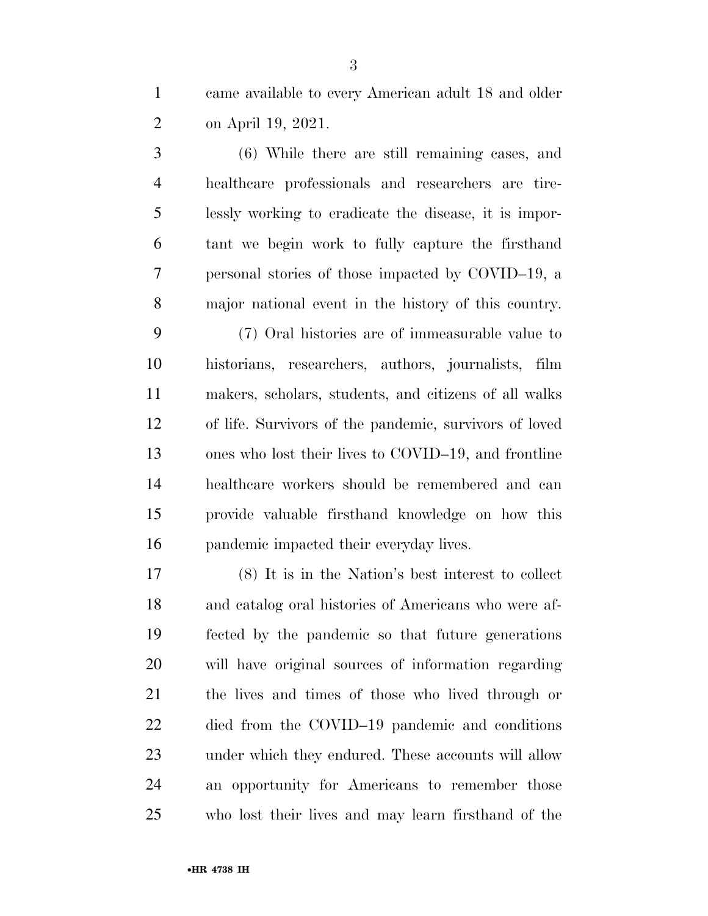came available to every American adult 18 and older on April 19, 2021.

 (6) While there are still remaining cases, and healthcare professionals and researchers are tire- lessly working to eradicate the disease, it is impor- tant we begin work to fully capture the firsthand personal stories of those impacted by COVID–19, a major national event in the history of this country.

 (7) Oral histories are of immeasurable value to historians, researchers, authors, journalists, film makers, scholars, students, and citizens of all walks of life. Survivors of the pandemic, survivors of loved ones who lost their lives to COVID–19, and frontline healthcare workers should be remembered and can provide valuable firsthand knowledge on how this pandemic impacted their everyday lives.

 (8) It is in the Nation's best interest to collect and catalog oral histories of Americans who were af- fected by the pandemic so that future generations will have original sources of information regarding the lives and times of those who lived through or died from the COVID–19 pandemic and conditions under which they endured. These accounts will allow an opportunity for Americans to remember those who lost their lives and may learn firsthand of the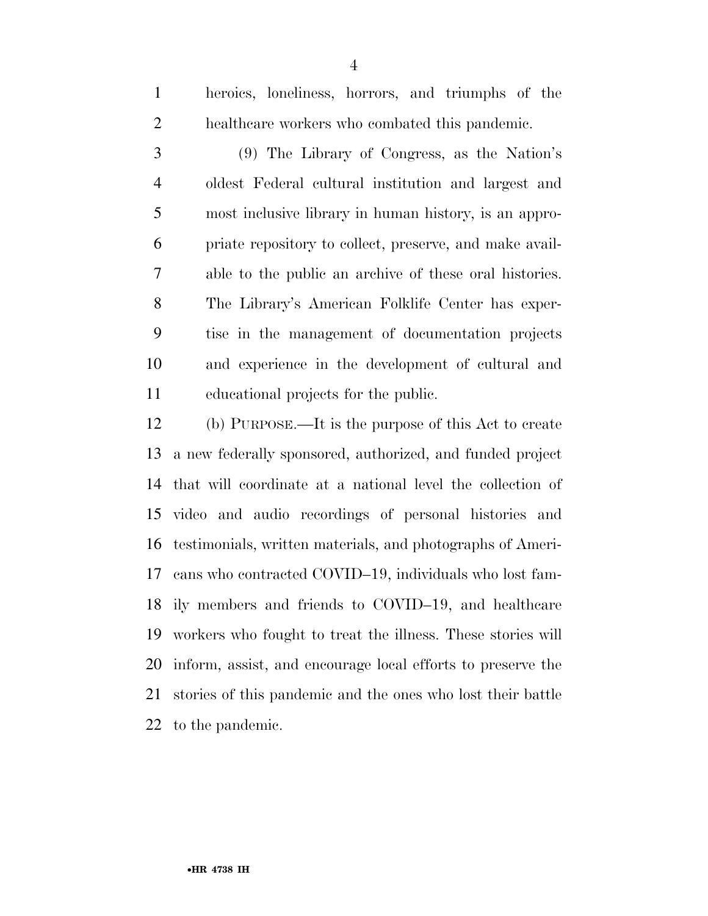heroics, loneliness, horrors, and triumphs of the healthcare workers who combated this pandemic.

 (9) The Library of Congress, as the Nation's oldest Federal cultural institution and largest and most inclusive library in human history, is an appro- priate repository to collect, preserve, and make avail- able to the public an archive of these oral histories. The Library's American Folklife Center has exper- tise in the management of documentation projects and experience in the development of cultural and educational projects for the public.

 (b) PURPOSE.—It is the purpose of this Act to create a new federally sponsored, authorized, and funded project that will coordinate at a national level the collection of video and audio recordings of personal histories and testimonials, written materials, and photographs of Ameri- cans who contracted COVID–19, individuals who lost fam- ily members and friends to COVID–19, and healthcare workers who fought to treat the illness. These stories will inform, assist, and encourage local efforts to preserve the stories of this pandemic and the ones who lost their battle to the pandemic.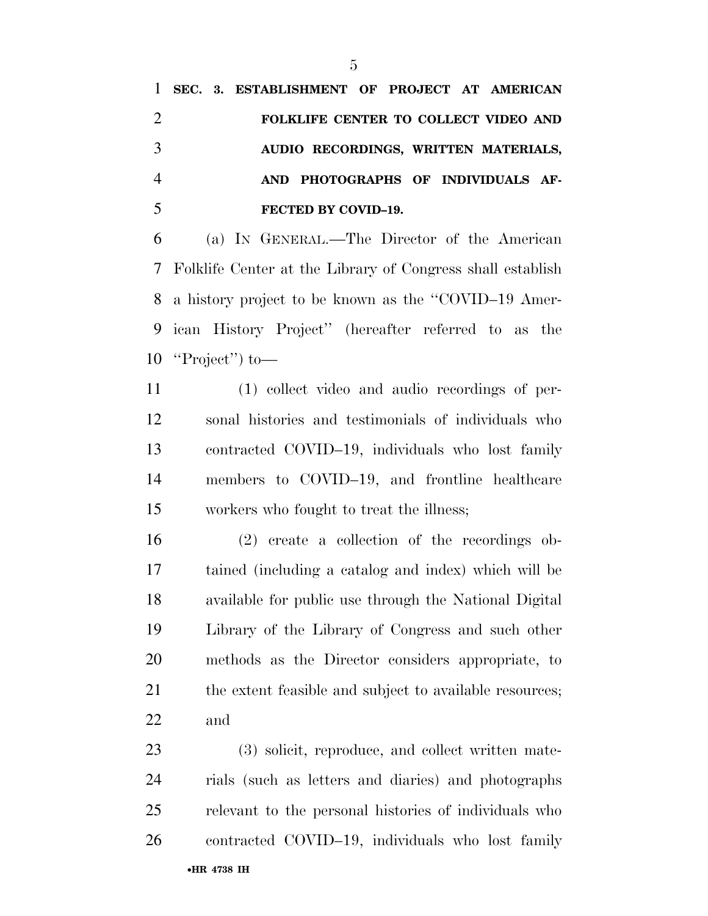**SEC. 3. ESTABLISHMENT OF PROJECT AT AMERICAN FOLKLIFE CENTER TO COLLECT VIDEO AND AUDIO RECORDINGS, WRITTEN MATERIALS, AND PHOTOGRAPHS OF INDIVIDUALS AF-FECTED BY COVID–19.** 

 (a) IN GENERAL.—The Director of the American Folklife Center at the Library of Congress shall establish a history project to be known as the ''COVID–19 Amer- ican History Project'' (hereafter referred to as the ''Project'') to—

 (1) collect video and audio recordings of per- sonal histories and testimonials of individuals who contracted COVID–19, individuals who lost family members to COVID–19, and frontline healthcare workers who fought to treat the illness;

 (2) create a collection of the recordings ob- tained (including a catalog and index) which will be available for public use through the National Digital Library of the Library of Congress and such other methods as the Director considers appropriate, to 21 the extent feasible and subject to available resources; and

•**HR 4738 IH** (3) solicit, reproduce, and collect written mate- rials (such as letters and diaries) and photographs relevant to the personal histories of individuals who contracted COVID–19, individuals who lost family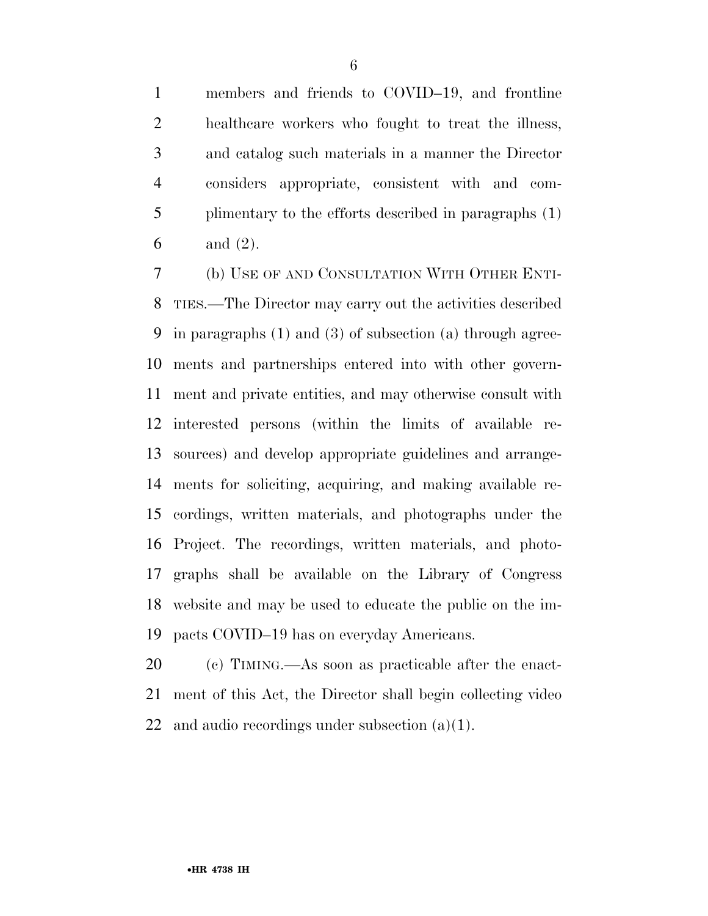members and friends to COVID–19, and frontline healthcare workers who fought to treat the illness, and catalog such materials in a manner the Director considers appropriate, consistent with and com- plimentary to the efforts described in paragraphs (1) and (2).

 (b) USE OF AND CONSULTATION WITH OTHER ENTI- TIES.—The Director may carry out the activities described in paragraphs (1) and (3) of subsection (a) through agree- ments and partnerships entered into with other govern- ment and private entities, and may otherwise consult with interested persons (within the limits of available re- sources) and develop appropriate guidelines and arrange- ments for soliciting, acquiring, and making available re- cordings, written materials, and photographs under the Project. The recordings, written materials, and photo- graphs shall be available on the Library of Congress website and may be used to educate the public on the im-pacts COVID–19 has on everyday Americans.

 (c) TIMING.—As soon as practicable after the enact- ment of this Act, the Director shall begin collecting video 22 and audio recordings under subsection  $(a)(1)$ .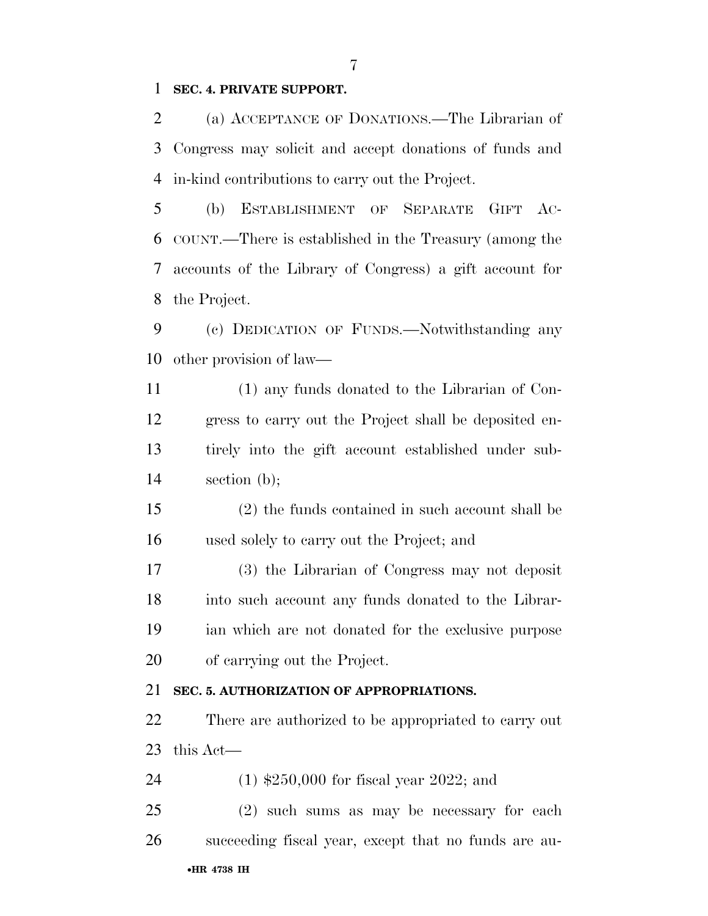#### **SEC. 4. PRIVATE SUPPORT.**

 (a) ACCEPTANCE OF DONATIONS.—The Librarian of Congress may solicit and accept donations of funds and in-kind contributions to carry out the Project.

 (b) ESTABLISHMENT OF SEPARATE GIFT AC- COUNT.—There is established in the Treasury (among the accounts of the Library of Congress) a gift account for the Project.

 (c) DEDICATION OF FUNDS.—Notwithstanding any other provision of law—

 (1) any funds donated to the Librarian of Con- gress to carry out the Project shall be deposited en- tirely into the gift account established under sub-section (b);

 (2) the funds contained in such account shall be used solely to carry out the Project; and

 (3) the Librarian of Congress may not deposit into such account any funds donated to the Librar- ian which are not donated for the exclusive purpose of carrying out the Project.

#### **SEC. 5. AUTHORIZATION OF APPROPRIATIONS.**

 There are authorized to be appropriated to carry out this Act—

(1) \$250,000 for fiscal year 2022; and

•**HR 4738 IH** (2) such sums as may be necessary for each succeeding fiscal year, except that no funds are au-